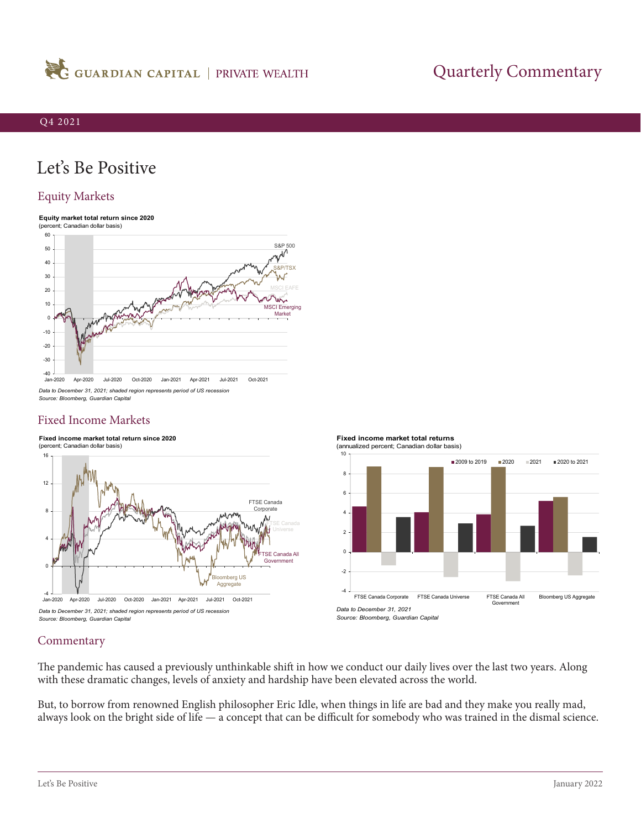

# Quarterly Commentary

# Let's Be Positive

## Equity Markets

#### **Equity market total return since 2020** (percent; Canadian dollar basis)



*Data to December 31, 2021; shaded region represents period of US recession Source: Bloomberg, Guardian Capital*

# Fixed Income Markets







FTSE Canada Corporate FTSE Canada Universe FTSE Canada All

Government

*Source: Bloomberg, Guardian Capital*

*Data to December 31, 2021*

## **Commentary**

The pandemic has caused a previously unthinkable shift in how we conduct our daily lives over the last two years. Along with these dramatic changes, levels of anxiety and hardship have been elevated across the world.

But, to borrow from renowned English philosopher Eric Idle, when things in life are bad and they make you really mad, always look on the bright side of life — a concept that can be difficult for somebody who was trained in the dismal science.

Bloomberg US Aggregate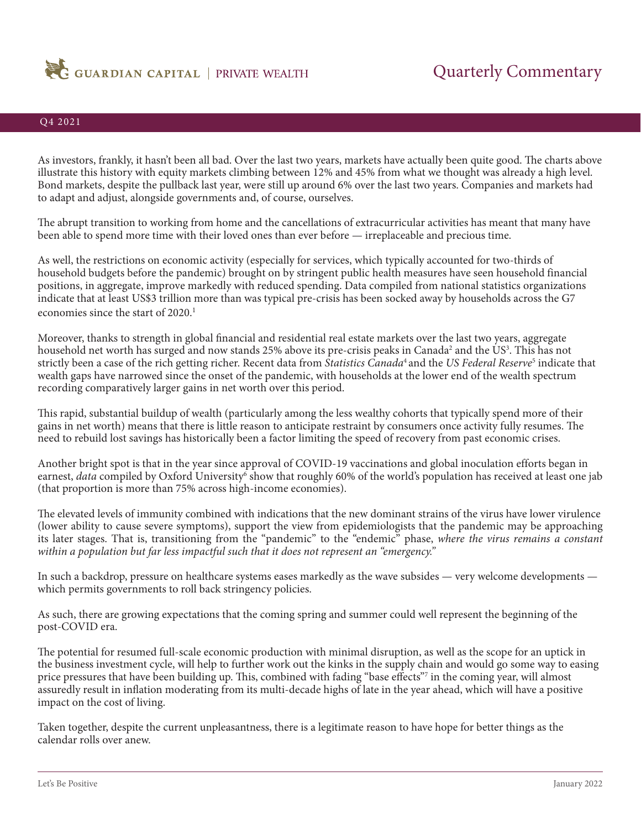

## Q4 2021

As investors, frankly, it hasn't been all bad. Over the last two years, markets have actually been quite good. The charts above illustrate this history with equity markets climbing between 12% and 45% from what we thought was already a high level. Bond markets, despite the pullback last year, were still up around 6% over the last two years. Companies and markets had to adapt and adjust, alongside governments and, of course, ourselves.

The abrupt transition to working from home and the cancellations of extracurricular activities has meant that many have been able to spend more time with their loved ones than ever before — irreplaceable and precious time.

As well, the restrictions on economic activity (especially for services, which typically accounted for two-thirds of household budgets before the pandemic) brought on by stringent public health measures have seen household financial positions, in aggregate, improve markedly with reduced spending. Data compiled from national statistics organizations indicate that at least US\$3 trillion more than was typical pre-crisis has been socked away by households across the G7 economies since the start of 2020.<sup>1</sup>

Moreover, thanks to strength in global financial and residential real estate markets over the last two years, aggregate household net worth has surged and now stands 25% above its pre-crisis peaks in Canada<sup>2</sup> and the US<sup>3</sup>. This has not strictly been a case of the rich getting richer. Recent data from *[Statistics Canada](https://www150.statcan.gc.ca/n1/daily-quotidien/211026/dq211026b-eng.htm)*<sup>4</sup>and the *[US Federal Reserve](https://www.federalreserve.gov/releases/z1/dataviz/dfa/distribute/chart/#range:2006.3,2021.3;quarter:128;series:Net%20worth;demographic:networth;population:all;units:levels)*<sup>5</sup> indicate that wealth gaps have narrowed since the onset of the pandemic, with households at the lower end of the wealth spectrum recording comparatively larger gains in net worth over this period.

This rapid, substantial buildup of wealth (particularly among the less wealthy cohorts that typically spend more of their gains in net worth) means that there is little reason to anticipate restraint by consumers once activity fully resumes. The need to rebuild lost savings has historically been a factor limiting the speed of recovery from past economic crises.

Another bright spot is that in the year since approval of COVID-19 vaccinations and global inoculation efforts began in earnest, *[data](https://ourworldindata.org/covid-vaccinations)* compiled by Oxford University<sup>6</sup> show that roughly 60% of the world's population has received at least one jab (that proportion is more than 75% across high-income economies).

The elevated levels of immunity combined with indications that the new dominant strains of the virus have lower virulence (lower ability to cause severe symptoms), support the view from epidemiologists that the pandemic may be approaching its later stages. That is, transitioning from the "pandemic" to the "endemic" phase, *where the virus remains a constant within a population but far less impactful such that it does not represent an "emergency."*

In such a backdrop, pressure on healthcare systems eases markedly as the wave subsides — very welcome developments which permits governments to roll back stringency policies.

As such, there are growing expectations that the coming spring and summer could well represent the beginning of the post-COVID era.

The potential for resumed full-scale economic production with minimal disruption, as well as the scope for an uptick in the business investment cycle, will help to further work out the kinks in the supply chain and would go some way to easing price pressures that have been building up. This, combined with fading "base effects"<sup>7</sup> in the coming year, will almost assuredly result in inflation moderating from its multi-decade highs of late in the year ahead, which will have a positive impact on the cost of living.

Taken together, despite the current unpleasantness, there is a legitimate reason to have hope for better things as the calendar rolls over anew.